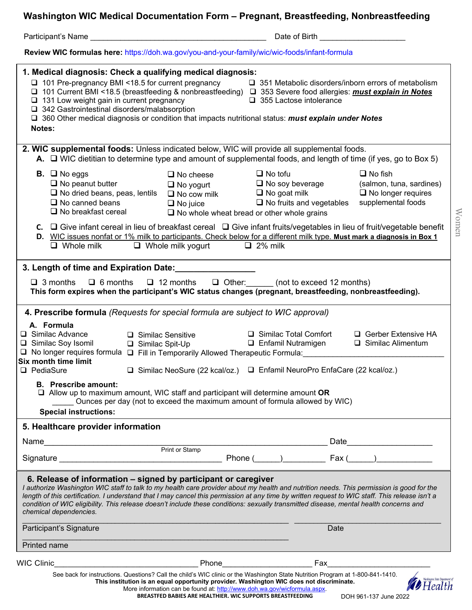**Washington WIC Medical Documentation Form – Pregnant, Breastfeeding, Nonbreastfeeding** 

|                                                                                                                                                                                                                                                                                                                                                                                                                                                                                                                                                            | Date of Birth <b>Exercise Services</b>                                                                                                                                                                                                                                                                                                                                                                                                                                                                                                                                |                                                                                                        |
|------------------------------------------------------------------------------------------------------------------------------------------------------------------------------------------------------------------------------------------------------------------------------------------------------------------------------------------------------------------------------------------------------------------------------------------------------------------------------------------------------------------------------------------------------------|-----------------------------------------------------------------------------------------------------------------------------------------------------------------------------------------------------------------------------------------------------------------------------------------------------------------------------------------------------------------------------------------------------------------------------------------------------------------------------------------------------------------------------------------------------------------------|--------------------------------------------------------------------------------------------------------|
|                                                                                                                                                                                                                                                                                                                                                                                                                                                                                                                                                            | Review WIC formulas here: https://doh.wa.gov/you-and-your-family/wic/wic-foods/infant-formula                                                                                                                                                                                                                                                                                                                                                                                                                                                                         |                                                                                                        |
| 1. Medical diagnosis: Check a qualifying medical diagnosis:<br>□ 101 Pre-pregnancy BMI <18.5 for current pregnancy<br>$\Box$ 351 Metabolic disorders/inborn errors of metabolism<br>□ 101 Current BMI <18.5 (breastfeeding & nonbreastfeeding) □ 353 Severe food allergies: must explain in Notes<br>$\Box$ 131 Low weight gain in current pregnancy<br>$\Box$ 355 Lactose intolerance<br>□ 342 Gastrointestinal disorders/malabsorption<br>□ 360 Other medical diagnosis or condition that impacts nutritional status: must explain under Notes<br>Notes: |                                                                                                                                                                                                                                                                                                                                                                                                                                                                                                                                                                       |                                                                                                        |
| 2. WIC supplemental foods: Unless indicated below, WIC will provide all supplemental foods.<br>A. $\Box$ WIC dietitian to determine type and amount of supplemental foods, and length of time (if yes, go to Box 5)                                                                                                                                                                                                                                                                                                                                        |                                                                                                                                                                                                                                                                                                                                                                                                                                                                                                                                                                       |                                                                                                        |
| <b>B.</b> $\Box$ No eggs<br>$\Box$ No peanut butter<br>$\Box$ No dried beans, peas, lentils<br>$\Box$ No canned beans<br>$\Box$ No breakfast cereal                                                                                                                                                                                                                                                                                                                                                                                                        | $\Box$ No tofu<br>$\Box$ No cheese<br>$\Box$ No soy beverage<br>$\Box$ No yogurt<br>$\Box$ No goat milk<br>$\Box$ No cow milk<br>$\Box$ No fruits and vegetables<br>$\Box$ No juice<br>$\Box$ No whole wheat bread or other whole grains<br>$C.$ $\Box$ Give infant cereal in lieu of breakfast cereal $\Box$ Give infant fruits/vegetables in lieu of fruit/vegetable benefit<br>D. WIC issues nonfat or 1% milk to participants. Check below for a different milk type. Must mark a diagnosis in Box 1<br>$\Box$ Whole milk $\Box$ Whole milk yogurt $\Box$ 2% milk | $\Box$ No fish<br>(salmon, tuna, sardines)<br>$\Box$ No longer requires<br>supplemental foods<br>Women |
| $\Box$ 3 months<br>$\Box$ 6 months $\Box$ 12 months $\Box$ Other: (not to exceed 12 months)<br>This form expires when the participant's WIC status changes (pregnant, breastfeeding, nonbreastfeeding).<br>4. Prescribe formula (Requests for special formula are subject to WIC approval)<br>A. Formula<br>□ Gerber Extensive HA<br>$\Box$ Similac Advance<br>□ Similac Total Comfort<br>$\Box$ Similac Sensitive<br>□ Similac Soy Isomil<br>$\Box$ Similac Alimentum<br>$\Box$ Enfamil Nutramigen<br>□ Similac Spit-Up                                   |                                                                                                                                                                                                                                                                                                                                                                                                                                                                                                                                                                       |                                                                                                        |
| Six month time limit<br>□ PediaSure<br><b>B.</b> Prescribe amount:                                                                                                                                                                                                                                                                                                                                                                                                                                                                                         | □ No longer requires formula □ Fill in Temporarily Allowed Therapeutic Formula:<br>□ Similac NeoSure (22 kcal/oz.) □ Enfamil NeuroPro EnfaCare (22 kcal/oz.)                                                                                                                                                                                                                                                                                                                                                                                                          |                                                                                                        |
| $\Box$ Allow up to maximum amount, WIC staff and participant will determine amount OR<br>Ounces per day (not to exceed the maximum amount of formula allowed by WIC)<br><b>Special instructions:</b>                                                                                                                                                                                                                                                                                                                                                       |                                                                                                                                                                                                                                                                                                                                                                                                                                                                                                                                                                       |                                                                                                        |
| 5. Healthcare provider information                                                                                                                                                                                                                                                                                                                                                                                                                                                                                                                         |                                                                                                                                                                                                                                                                                                                                                                                                                                                                                                                                                                       |                                                                                                        |
|                                                                                                                                                                                                                                                                                                                                                                                                                                                                                                                                                            | Name<br>Print or Stamp<br>Print or Stamp                                                                                                                                                                                                                                                                                                                                                                                                                                                                                                                              |                                                                                                        |
|                                                                                                                                                                                                                                                                                                                                                                                                                                                                                                                                                            |                                                                                                                                                                                                                                                                                                                                                                                                                                                                                                                                                                       |                                                                                                        |
| 6. Release of information – signed by participant or caregiver<br>chemical dependencies.                                                                                                                                                                                                                                                                                                                                                                                                                                                                   | I authorize Washington WIC staff to talk to my health care provider about my health and nutrition needs. This permission is good for the<br>length of this certification. I understand that I may cancel this permission at any time by written request to WIC staff. This release isn't a<br>condition of WIC eligibility. This release doesn't include these conditions: sexually transmitted disease, mental health concerns and                                                                                                                                   |                                                                                                        |
| Participant's Signature                                                                                                                                                                                                                                                                                                                                                                                                                                                                                                                                    | Date                                                                                                                                                                                                                                                                                                                                                                                                                                                                                                                                                                  |                                                                                                        |
| Printed name                                                                                                                                                                                                                                                                                                                                                                                                                                                                                                                                               |                                                                                                                                                                                                                                                                                                                                                                                                                                                                                                                                                                       |                                                                                                        |
| WIC Clinic                                                                                                                                                                                                                                                                                                                                                                                                                                                                                                                                                 | Phone <b>Property</b><br>Fax                                                                                                                                                                                                                                                                                                                                                                                                                                                                                                                                          |                                                                                                        |
|                                                                                                                                                                                                                                                                                                                                                                                                                                                                                                                                                            | See back for instructions. Questions? Call the child's WIC clinic or the Washington State Nutrition Program at 1-800-841-1410.<br>This institution is an equal opportunity provider. Washington WIC does not discriminate.<br>More information can be found at: http://www.doh.wa.gov/wicformula.aspx.                                                                                                                                                                                                                                                                |                                                                                                        |

More information can be found at: <u>http://www.doh.wa.gov/wicformula.aspx</u>. **BREASTFED BABIES ARE HEALTHIER. WIC SUPPORTS BREASTFEEDING**